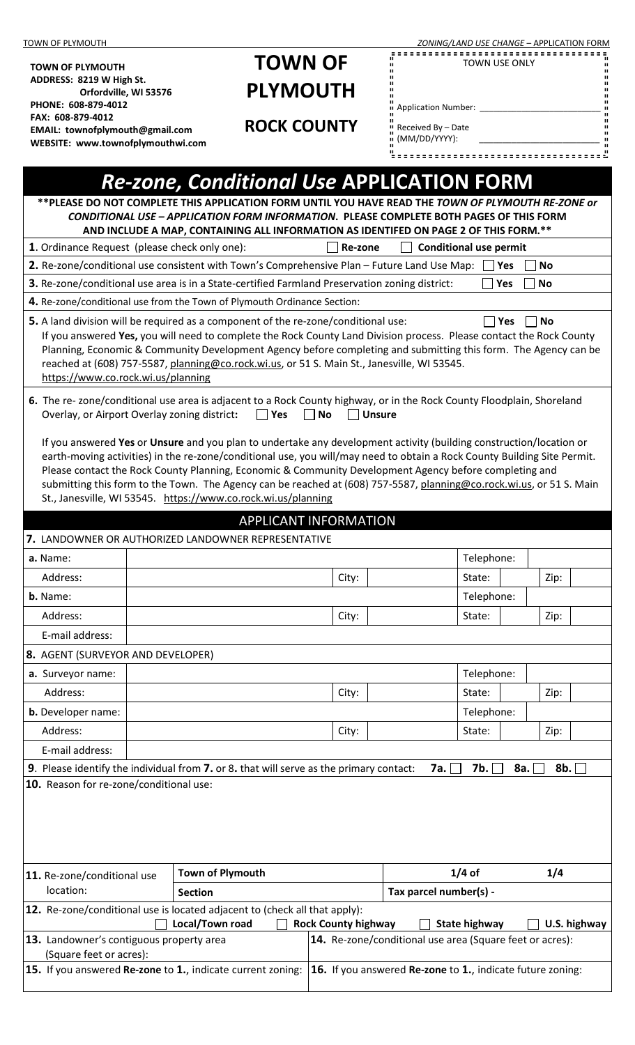| TOWN OF PLYMOUTH                                                                                                                                                                                                                        |                                                                                                                                                                                                                                                 |         | ZONING/LAND USE CHANGE - APPLICATION FORM            |                        |                     |  |  |
|-----------------------------------------------------------------------------------------------------------------------------------------------------------------------------------------------------------------------------------------|-------------------------------------------------------------------------------------------------------------------------------------------------------------------------------------------------------------------------------------------------|---------|------------------------------------------------------|------------------------|---------------------|--|--|
| <b>TOWN OF PLYMOUTH</b>                                                                                                                                                                                                                 | <b>TOWN OF</b>                                                                                                                                                                                                                                  |         |                                                      | TOWN USE ONLY          | = = = = = = = = = = |  |  |
| ADDRESS: 8219 W High St.                                                                                                                                                                                                                | <b>PLYMOUTH</b>                                                                                                                                                                                                                                 |         |                                                      |                        |                     |  |  |
| Orfordville, WI 53576<br>PHONE: 608-879-4012                                                                                                                                                                                            |                                                                                                                                                                                                                                                 |         | $\cdot$ Application Number: $\overline{\phantom{a}}$ |                        |                     |  |  |
| FAX: 608-879-4012<br>EMAIL: townofplymouth@gmail.com                                                                                                                                                                                    | <b>ROCK COUNTY</b>                                                                                                                                                                                                                              |         | " Received By - Date                                 |                        |                     |  |  |
| WEBSITE: www.townofplymouthwi.com                                                                                                                                                                                                       |                                                                                                                                                                                                                                                 |         | " (MM/DD/YYYY):                                      |                        |                     |  |  |
|                                                                                                                                                                                                                                         |                                                                                                                                                                                                                                                 |         | <u> - - - - - - - - - - - - - -</u>                  |                        |                     |  |  |
|                                                                                                                                                                                                                                         | <b>Re-zone, Conditional Use APPLICATION FORM</b>                                                                                                                                                                                                |         |                                                      |                        |                     |  |  |
|                                                                                                                                                                                                                                         | **PLEASE DO NOT COMPLETE THIS APPLICATION FORM UNTIL YOU HAVE READ THE TOWN OF PLYMOUTH RE-ZONE or                                                                                                                                              |         |                                                      |                        |                     |  |  |
|                                                                                                                                                                                                                                         | CONDITIONAL USE - APPLICATION FORM INFORMATION. PLEASE COMPLETE BOTH PAGES OF THIS FORM<br>AND INCLUDE A MAP, CONTAINING ALL INFORMATION AS IDENTIFED ON PAGE 2 OF THIS FORM.**                                                                 |         |                                                      |                        |                     |  |  |
| 1. Ordinance Request (please check only one):                                                                                                                                                                                           |                                                                                                                                                                                                                                                 | Re-zone | <b>Conditional use permit</b>                        |                        |                     |  |  |
| 2. Re-zone/conditional use consistent with Town's Comprehensive Plan - Future Land Use Map:<br><b>No</b><br>Yes                                                                                                                         |                                                                                                                                                                                                                                                 |         |                                                      |                        |                     |  |  |
|                                                                                                                                                                                                                                         | 3. Re-zone/conditional use area is in a State-certified Farmland Preservation zoning district:                                                                                                                                                  |         |                                                      | Yes                    | No                  |  |  |
|                                                                                                                                                                                                                                         | 4. Re-zone/conditional use from the Town of Plymouth Ordinance Section:                                                                                                                                                                         |         |                                                      |                        |                     |  |  |
|                                                                                                                                                                                                                                         | 5. A land division will be required as a component of the re-zone/conditional use:                                                                                                                                                              |         |                                                      | Yes                    | $ $ No              |  |  |
| If you answered Yes, you will need to complete the Rock County Land Division process. Please contact the Rock County<br>Planning, Economic & Community Development Agency before completing and submitting this form. The Agency can be |                                                                                                                                                                                                                                                 |         |                                                      |                        |                     |  |  |
| reached at (608) 757-5587, planning@co.rock.wi.us, or 51 S. Main St., Janesville, WI 53545.                                                                                                                                             |                                                                                                                                                                                                                                                 |         |                                                      |                        |                     |  |  |
| https://www.co.rock.wi.us/planning                                                                                                                                                                                                      |                                                                                                                                                                                                                                                 |         |                                                      |                        |                     |  |  |
| 6. The re-zone/conditional use area is adjacent to a Rock County highway, or in the Rock County Floodplain, Shoreland<br>Overlay, or Airport Overlay zoning district:<br><b>No</b><br>$\vert$ Yes<br>$\mathbf{L}$<br>Unsure             |                                                                                                                                                                                                                                                 |         |                                                      |                        |                     |  |  |
|                                                                                                                                                                                                                                         |                                                                                                                                                                                                                                                 |         |                                                      |                        |                     |  |  |
|                                                                                                                                                                                                                                         | If you answered Yes or Unsure and you plan to undertake any development activity (building construction/location or<br>earth-moving activities) in the re-zone/conditional use, you will/may need to obtain a Rock County Building Site Permit. |         |                                                      |                        |                     |  |  |
|                                                                                                                                                                                                                                         | Please contact the Rock County Planning, Economic & Community Development Agency before completing and                                                                                                                                          |         |                                                      |                        |                     |  |  |
|                                                                                                                                                                                                                                         | submitting this form to the Town. The Agency can be reached at (608) 757-5587, planning@co.rock.wi.us, or 51 S. Main                                                                                                                            |         |                                                      |                        |                     |  |  |
|                                                                                                                                                                                                                                         | St., Janesville, WI 53545. https://www.co.rock.wi.us/planning                                                                                                                                                                                   |         |                                                      |                        |                     |  |  |
|                                                                                                                                                                                                                                         | <b>APPLICANT INFORMATION</b>                                                                                                                                                                                                                    |         |                                                      |                        |                     |  |  |
|                                                                                                                                                                                                                                         | 7. LANDOWNER OR AUTHORIZED LANDOWNER REPRESENTATIVE                                                                                                                                                                                             |         |                                                      |                        |                     |  |  |
| a. Name:                                                                                                                                                                                                                                |                                                                                                                                                                                                                                                 |         |                                                      | Telephone:             |                     |  |  |
| Address:                                                                                                                                                                                                                                |                                                                                                                                                                                                                                                 | City:   | State:                                               |                        | Zip:                |  |  |
| b. Name:                                                                                                                                                                                                                                |                                                                                                                                                                                                                                                 |         |                                                      | Telephone:             |                     |  |  |
| Address:                                                                                                                                                                                                                                |                                                                                                                                                                                                                                                 | City:   | State:                                               |                        | Zip:                |  |  |
| E-mail address:                                                                                                                                                                                                                         |                                                                                                                                                                                                                                                 |         |                                                      |                        |                     |  |  |
| 8. AGENT (SURVEYOR AND DEVELOPER)                                                                                                                                                                                                       |                                                                                                                                                                                                                                                 |         |                                                      |                        |                     |  |  |
| a. Surveyor name:                                                                                                                                                                                                                       |                                                                                                                                                                                                                                                 |         |                                                      | Telephone:             |                     |  |  |
| Address:                                                                                                                                                                                                                                |                                                                                                                                                                                                                                                 | City:   | State:                                               |                        | Zip:                |  |  |
| <b>b.</b> Developer name:                                                                                                                                                                                                               |                                                                                                                                                                                                                                                 |         |                                                      | Telephone:             |                     |  |  |
| Address:                                                                                                                                                                                                                                |                                                                                                                                                                                                                                                 | City:   | State:                                               |                        | Zip:                |  |  |
| E-mail address:                                                                                                                                                                                                                         |                                                                                                                                                                                                                                                 |         |                                                      |                        |                     |  |  |
| 10. Reason for re-zone/conditional use:                                                                                                                                                                                                 | 9. Please identify the individual from 7. or 8. that will serve as the primary contact:                                                                                                                                                         |         | 7a.                                                  | 7b.<br>8a.             | 8b.                 |  |  |
|                                                                                                                                                                                                                                         |                                                                                                                                                                                                                                                 |         |                                                      |                        |                     |  |  |
|                                                                                                                                                                                                                                         |                                                                                                                                                                                                                                                 |         |                                                      |                        |                     |  |  |
|                                                                                                                                                                                                                                         |                                                                                                                                                                                                                                                 |         |                                                      |                        |                     |  |  |
|                                                                                                                                                                                                                                         |                                                                                                                                                                                                                                                 |         |                                                      |                        |                     |  |  |
| 11. Re-zone/conditional use                                                                                                                                                                                                             | <b>Town of Plymouth</b>                                                                                                                                                                                                                         |         | $1/4$ of                                             |                        | 1/4                 |  |  |
| location:                                                                                                                                                                                                                               | <b>Section</b>                                                                                                                                                                                                                                  |         |                                                      | Tax parcel number(s) - |                     |  |  |
|                                                                                                                                                                                                                                         | 12. Re-zone/conditional use is located adjacent to (check all that apply):                                                                                                                                                                      |         |                                                      |                        |                     |  |  |
| Local/Town road<br><b>Rock County highway</b><br><b>State highway</b><br>U.S. highway<br>14. Re-zone/conditional use area (Square feet or acres):                                                                                       |                                                                                                                                                                                                                                                 |         |                                                      |                        |                     |  |  |
| 13. Landowner's contiguous property area<br>(Square feet or acres):                                                                                                                                                                     |                                                                                                                                                                                                                                                 |         |                                                      |                        |                     |  |  |
| 15. If you answered Re-zone to 1., indicate current zoning: $\vert$ 16. If you answered Re-zone to 1., indicate future zoning:                                                                                                          |                                                                                                                                                                                                                                                 |         |                                                      |                        |                     |  |  |
|                                                                                                                                                                                                                                         |                                                                                                                                                                                                                                                 |         |                                                      |                        |                     |  |  |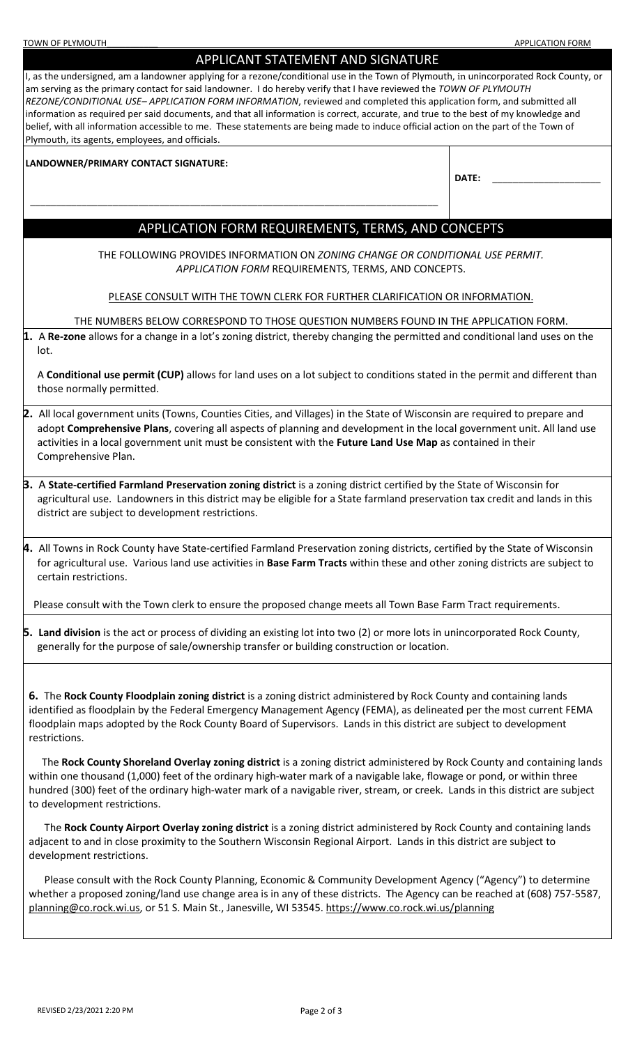| <b>TOWN OF PLYMOUTH</b>                                                                                                                                                                                                                                                                                                                                                                                                                                                                                                                                                                                                                                                                                                                                                                                                                                                                                                                                                                                                                                                               | <b>APPLICATION FORM</b> |  |  |  |  |  |
|---------------------------------------------------------------------------------------------------------------------------------------------------------------------------------------------------------------------------------------------------------------------------------------------------------------------------------------------------------------------------------------------------------------------------------------------------------------------------------------------------------------------------------------------------------------------------------------------------------------------------------------------------------------------------------------------------------------------------------------------------------------------------------------------------------------------------------------------------------------------------------------------------------------------------------------------------------------------------------------------------------------------------------------------------------------------------------------|-------------------------|--|--|--|--|--|
| APPLICANT STATEMENT AND SIGNATURE                                                                                                                                                                                                                                                                                                                                                                                                                                                                                                                                                                                                                                                                                                                                                                                                                                                                                                                                                                                                                                                     |                         |  |  |  |  |  |
| I, as the undersigned, am a landowner applying for a rezone/conditional use in the Town of Plymouth, in unincorporated Rock County, or<br>am serving as the primary contact for said landowner. I do hereby verify that I have reviewed the TOWN OF PLYMOUTH<br>REZONE/CONDITIONAL USE-APPLICATION FORM INFORMATION, reviewed and completed this application form, and submitted all<br>information as required per said documents, and that all information is correct, accurate, and true to the best of my knowledge and<br>belief, with all information accessible to me. These statements are being made to induce official action on the part of the Town of<br>Plymouth, its agents, employees, and officials.                                                                                                                                                                                                                                                                                                                                                                 |                         |  |  |  |  |  |
|                                                                                                                                                                                                                                                                                                                                                                                                                                                                                                                                                                                                                                                                                                                                                                                                                                                                                                                                                                                                                                                                                       |                         |  |  |  |  |  |
| LANDOWNER/PRIMARY CONTACT SIGNATURE:                                                                                                                                                                                                                                                                                                                                                                                                                                                                                                                                                                                                                                                                                                                                                                                                                                                                                                                                                                                                                                                  | DATE:                   |  |  |  |  |  |
|                                                                                                                                                                                                                                                                                                                                                                                                                                                                                                                                                                                                                                                                                                                                                                                                                                                                                                                                                                                                                                                                                       |                         |  |  |  |  |  |
|                                                                                                                                                                                                                                                                                                                                                                                                                                                                                                                                                                                                                                                                                                                                                                                                                                                                                                                                                                                                                                                                                       |                         |  |  |  |  |  |
| APPLICATION FORM REQUIREMENTS, TERMS, AND CONCEPTS                                                                                                                                                                                                                                                                                                                                                                                                                                                                                                                                                                                                                                                                                                                                                                                                                                                                                                                                                                                                                                    |                         |  |  |  |  |  |
|                                                                                                                                                                                                                                                                                                                                                                                                                                                                                                                                                                                                                                                                                                                                                                                                                                                                                                                                                                                                                                                                                       |                         |  |  |  |  |  |
| THE FOLLOWING PROVIDES INFORMATION ON ZONING CHANGE OR CONDITIONAL USE PERMIT.<br>APPLICATION FORM REQUIREMENTS, TERMS, AND CONCEPTS.                                                                                                                                                                                                                                                                                                                                                                                                                                                                                                                                                                                                                                                                                                                                                                                                                                                                                                                                                 |                         |  |  |  |  |  |
| PLEASE CONSULT WITH THE TOWN CLERK FOR FURTHER CLARIFICATION OR INFORMATION.                                                                                                                                                                                                                                                                                                                                                                                                                                                                                                                                                                                                                                                                                                                                                                                                                                                                                                                                                                                                          |                         |  |  |  |  |  |
| THE NUMBERS BELOW CORRESPOND TO THOSE QUESTION NUMBERS FOUND IN THE APPLICATION FORM.                                                                                                                                                                                                                                                                                                                                                                                                                                                                                                                                                                                                                                                                                                                                                                                                                                                                                                                                                                                                 |                         |  |  |  |  |  |
| 1. A Re-zone allows for a change in a lot's zoning district, thereby changing the permitted and conditional land uses on the                                                                                                                                                                                                                                                                                                                                                                                                                                                                                                                                                                                                                                                                                                                                                                                                                                                                                                                                                          |                         |  |  |  |  |  |
| lot.                                                                                                                                                                                                                                                                                                                                                                                                                                                                                                                                                                                                                                                                                                                                                                                                                                                                                                                                                                                                                                                                                  |                         |  |  |  |  |  |
| A Conditional use permit (CUP) allows for land uses on a lot subject to conditions stated in the permit and different than<br>those normally permitted.                                                                                                                                                                                                                                                                                                                                                                                                                                                                                                                                                                                                                                                                                                                                                                                                                                                                                                                               |                         |  |  |  |  |  |
| 2. All local government units (Towns, Counties Cities, and Villages) in the State of Wisconsin are required to prepare and<br>adopt Comprehensive Plans, covering all aspects of planning and development in the local government unit. All land use<br>activities in a local government unit must be consistent with the Future Land Use Map as contained in their<br>Comprehensive Plan.                                                                                                                                                                                                                                                                                                                                                                                                                                                                                                                                                                                                                                                                                            |                         |  |  |  |  |  |
| 3. A State-certified Farmland Preservation zoning district is a zoning district certified by the State of Wisconsin for<br>agricultural use. Landowners in this district may be eligible for a State farmland preservation tax credit and lands in this<br>district are subject to development restrictions.                                                                                                                                                                                                                                                                                                                                                                                                                                                                                                                                                                                                                                                                                                                                                                          |                         |  |  |  |  |  |
| 4. All Towns in Rock County have State-certified Farmland Preservation zoning districts, certified by the State of Wisconsin<br>for agricultural use. Various land use activities in Base Farm Tracts within these and other zoning districts are subject to<br>certain restrictions.                                                                                                                                                                                                                                                                                                                                                                                                                                                                                                                                                                                                                                                                                                                                                                                                 |                         |  |  |  |  |  |
| Please consult with the Town clerk to ensure the proposed change meets all Town Base Farm Tract requirements.                                                                                                                                                                                                                                                                                                                                                                                                                                                                                                                                                                                                                                                                                                                                                                                                                                                                                                                                                                         |                         |  |  |  |  |  |
| <b>5. Land division</b> is the act or process of dividing an existing lot into two (2) or more lots in unincorporated Rock County,<br>generally for the purpose of sale/ownership transfer or building construction or location.                                                                                                                                                                                                                                                                                                                                                                                                                                                                                                                                                                                                                                                                                                                                                                                                                                                      |                         |  |  |  |  |  |
| 6. The Rock County Floodplain zoning district is a zoning district administered by Rock County and containing lands<br>identified as floodplain by the Federal Emergency Management Agency (FEMA), as delineated per the most current FEMA<br>floodplain maps adopted by the Rock County Board of Supervisors. Lands in this district are subject to development<br>restrictions.<br>The Rock County Shoreland Overlay zoning district is a zoning district administered by Rock County and containing lands<br>within one thousand (1,000) feet of the ordinary high-water mark of a navigable lake, flowage or pond, or within three<br>hundred (300) feet of the ordinary high-water mark of a navigable river, stream, or creek. Lands in this district are subject<br>to development restrictions.<br>The Rock County Airport Overlay zoning district is a zoning district administered by Rock County and containing lands<br>adjacent to and in close proximity to the Southern Wisconsin Regional Airport. Lands in this district are subject to<br>development restrictions. |                         |  |  |  |  |  |
| Please consult with the Rock County Planning, Economic & Community Development Agency ("Agency") to determine<br>whether a proposed zoning/land use change area is in any of these districts. The Agency can be reached at (608) 757-5587,                                                                                                                                                                                                                                                                                                                                                                                                                                                                                                                                                                                                                                                                                                                                                                                                                                            |                         |  |  |  |  |  |

[planning@co.rock.wi.us,](mailto:planning@co.rock.wi.us) or 51 S. Main St., Janesville, WI 53545. <https://www.co.rock.wi.us/planning>